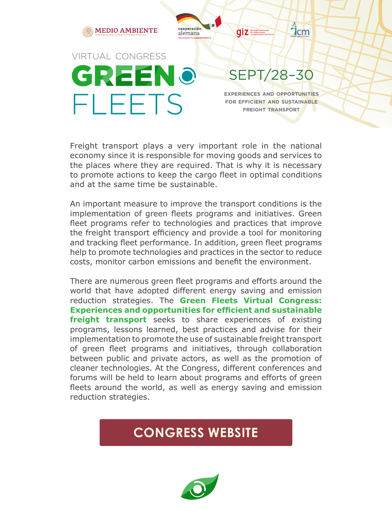

Freight transport plays a very important role in the national economy since it is responsible for moving goods and services to the places where they are required. That is why it is necessary to promote actions to keep the cargo fleet in optimal conditions and at the same time be sustainable.

An important measure to improve the transport conditions is the implementation of green fleets programs and initiatives. Green fleet programs refer to technologies and practices that improve the freight transport efficiency and provide a tool for monitoring and tracking fleet performance. In addition, green fleet programs help to promote technologies and practices in the sector to reduce costs, monitor carbon emissions and benefit the environment.

There are numerous green fleet programs and efforts around the world that have adopted different energy saving and emission reduction strategies. The **Green Fleets Virtual Congress: Experiences and opportunities for efficient and sustainable freight transport** seeks to share experiences of existing programs, lessons learned, best practices and advise for their implementation to promote the use of sustainable freight transport of green fleet programs and initiatives, through collaboration between public and private actors, as well as the promotion of cleaner technologies. At the Congress, different conferences and forums will be held to learn about programs and efforts of green fleets around the world, as well as energy saving and emission reduction strategies.

#### **CONGRESS WEBSITE**

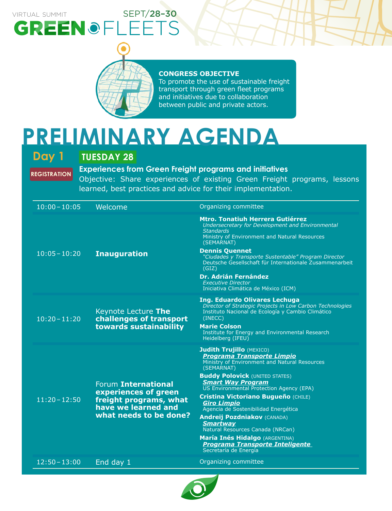### VIRTUAL SUMMIT SEPT/28-30 GREENOFLEETS



#### **CONGRESS OBJECTIVE**

To promote the use of sustainable freight transport through green fleet programs and initiatives due to collaboration between public and private actors.

### **PRELIMINARY AGENDA**

**REGISTRATION**

#### **Day 1 TUESDAY 28**

#### **Experiences from Green Freight programs and initiatives**

Objective: Share experiences of existing Green Freight programs, lessons learned, best practices and advice for their implementation.

| $10:00 - 10:05$ | Welcome                                                                                                                | Organizing committee                                                                                                                                                                                     |
|-----------------|------------------------------------------------------------------------------------------------------------------------|----------------------------------------------------------------------------------------------------------------------------------------------------------------------------------------------------------|
| $10:05 - 10:20$ | <b>Inauguration</b>                                                                                                    | <b>Mtro. Tonatiuh Herrera Gutiérrez</b><br>Undersecretary for Development and Environmental<br><b>Standards</b><br>Ministry of Environment and Natural Resources<br>(SEMARNAT)                           |
|                 |                                                                                                                        | <b>Dennis Quennet</b><br>"Ciudades y Transporte Sustentable" Program Director<br>Deutsche Gesellschaft für Internationale Zusammenarbeit<br>(GIZ)                                                        |
|                 |                                                                                                                        | <b>Dr. Adrián Fernández</b><br><b>Executive Director</b><br>Iniciativa Climática de México (ICM)                                                                                                         |
| $10:20 - 11:20$ | Keynote Lecture The<br>challenges of transport<br>towards sustainability                                               | Ing. Eduardo Olivares Lechuga<br>Director of Strategic Projects in Low Carbon Technologies<br>Instituto Nacional de Ecología y Cambio Climático<br>(INECC)                                               |
|                 |                                                                                                                        | <b>Marie Colson</b><br>Institute for Energy and Environmental Research<br>Heidelberg (IFEU)                                                                                                              |
| $11:20 - 12:50$ | Forum International<br>experiences of green<br>freight programs, what<br>have we learned and<br>what needs to be done? | <b>Judith Trujillo (MEXICO)</b><br><b>Programa Transporte Limpio</b><br>Ministry of Environment and Natural Resources<br>(SEMARNAT)<br><b>Buddy Polovick (UNITED STATES)</b><br><b>Smart Way Program</b> |
|                 |                                                                                                                        | US Environmental Protection Agency (EPA)<br>Cristina Victoriano Bugueño (CHILE)<br><b>Giro Limpio</b><br>Agencia de Sostenibilidad Energética                                                            |
|                 |                                                                                                                        | <b>Andreij Pozdniakov (CANADA)</b><br><b>Smartway</b><br>Natural Resources Canada (NRCan)                                                                                                                |
|                 |                                                                                                                        | <b>María Inés Hidalgo</b> (ARGENTINA)<br><b>Programa Transporte Inteligente</b><br>Secretaría de Energía                                                                                                 |
| $12:50 - 13:00$ | End day 1                                                                                                              | Organizing committee                                                                                                                                                                                     |

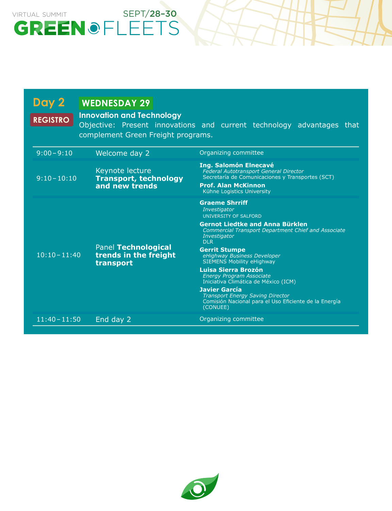# VIRTUAL SUMMIT SEPT/28-30<br>
GREEN OFLEETS

| Day 2<br><b>REGISTRO</b> | <b>WEDNESDAY 29</b><br><b>Innovation and Technology</b><br>complement Green Freight programs. | Objective: Present innovations and current technology advantages that                                                                                                                                                                                                                                                                                                                                                                                                                                                                     |
|--------------------------|-----------------------------------------------------------------------------------------------|-------------------------------------------------------------------------------------------------------------------------------------------------------------------------------------------------------------------------------------------------------------------------------------------------------------------------------------------------------------------------------------------------------------------------------------------------------------------------------------------------------------------------------------------|
| $9:00 - 9:10$            | Welcome day 2                                                                                 | Organizing committee                                                                                                                                                                                                                                                                                                                                                                                                                                                                                                                      |
| $9:10 - 10:10$           | Keynote lecture<br><b>Transport, technology</b><br>and new trends                             | <b>Ing. Salomón Elnecavé</b><br><b>Federal Autotransport General Director</b><br>Secretaría de Comunicaciones y Transportes (SCT)<br><b>Prof. Alan McKinnon</b><br>Kühne Logistics University                                                                                                                                                                                                                                                                                                                                             |
| $10:10 - 11:40$          | <b>Panel Technological</b><br>trends in the freight<br>transport                              | <b>Graeme Shrriff</b><br>Investigator<br>UNIVERSITY OF SALFORD<br><b>Gernot Liedtke and Anna Bürklen</b><br><b>Commercial Transport Department Chief and Associate</b><br>Investigator<br><b>DLR</b><br><b>Gerrit Stumpe</b><br>eHighway Business Developer<br><b>SIEMENS Mobility eHighway</b><br>Luisa Sierra Brozón<br><b>Energy Program Associate</b><br>Iniciativa Climática de México (ICM)<br><b>Javier García</b><br><b>Transport Energy Saving Director</b><br>Comisión Nacional para el Uso Eficiente de la Energía<br>(CONUEE) |
| $11:40 - 11:50$          | End day 2                                                                                     | Organizing committee                                                                                                                                                                                                                                                                                                                                                                                                                                                                                                                      |